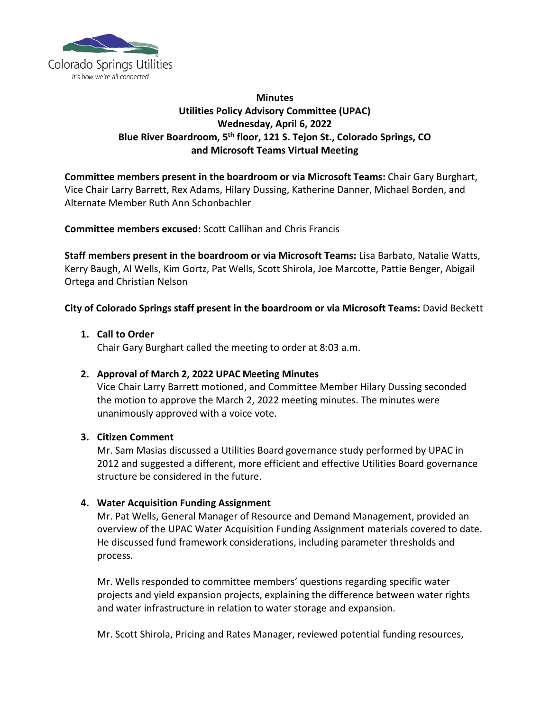

# **Minutes Utilities Policy Advisory Committee (UPAC) Wednesday, April 6, 2022 Blue River Boardroom, 5th floor, 121 S. Tejon St., Colorado Springs, CO and Microsoft Teams Virtual Meeting**

**Committee members present in the boardroom or via Microsoft Teams:** Chair Gary Burghart, Vice Chair Larry Barrett, Rex Adams, Hilary Dussing, Katherine Danner, Michael Borden, and Alternate Member Ruth Ann Schonbachler

**Committee members excused:** Scott Callihan and Chris Francis

**Staff members present in the boardroom or via Microsoft Teams:** Lisa Barbato, Natalie Watts, Kerry Baugh, Al Wells, Kim Gortz, Pat Wells, Scott Shirola, Joe Marcotte, Pattie Benger, Abigail Ortega and Christian Nelson

**City of Colorado Springs staff present in the boardroom or via Microsoft Teams:** David Beckett

## **1. Call to Order**

Chair Gary Burghart called the meeting to order at 8:03 a.m.

## **2. Approval of March 2, 2022 UPAC Meeting Minutes**

Vice Chair Larry Barrett motioned, and Committee Member Hilary Dussing seconded the motion to approve the March 2, 2022 meeting minutes. The minutes were unanimously approved with a voice vote.

## **3. Citizen Comment**

Mr. Sam Masias discussed a Utilities Board governance study performed by UPAC in 2012 and suggested a different, more efficient and effective Utilities Board governance structure be considered in the future.

## **4. Water Acquisition Funding Assignment**

Mr. Pat Wells, General Manager of Resource and Demand Management, provided an overview of the UPAC Water Acquisition Funding Assignment materials covered to date. He discussed fund framework considerations, including parameter thresholds and process.

Mr. Wells responded to committee members' questions regarding specific water projects and yield expansion projects, explaining the difference between water rights and water infrastructure in relation to water storage and expansion.

Mr. Scott Shirola, Pricing and Rates Manager, reviewed potential funding resources,